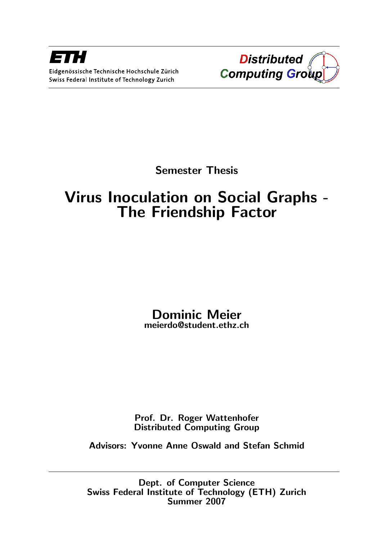

Semester Thesis

# Virus Inoculation on Social Graphs - The Friendship Factor

# Dominic Meier meierdo@student.ethz.ch

Prof. Dr. Roger Wattenhofer Distributed Computing Group

Advisors: Yvonne Anne Oswald and Stefan Schmid

Dept. of Computer Science Swiss Federal Institute of Technology (ETH) Zurich Summer 2007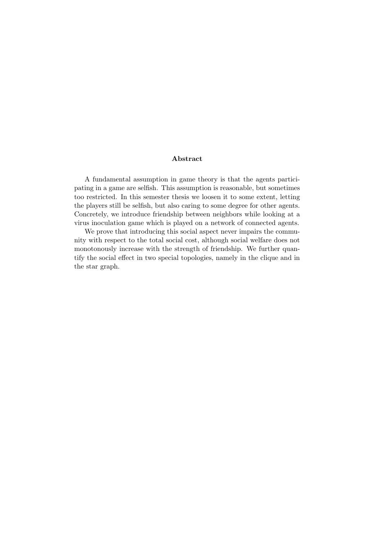#### Abstract

A fundamental assumption in game theory is that the agents participating in a game are selfish. This assumption is reasonable, but sometimes too restricted. In this semester thesis we loosen it to some extent, letting the players still be selfish, but also caring to some degree for other agents. Concretely, we introduce friendship between neighbors while looking at a virus inoculation game which is played on a network of connected agents.

We prove that introducing this social aspect never impairs the community with respect to the total social cost, although social welfare does not monotonously increase with the strength of friendship. We further quantify the social effect in two special topologies, namely in the clique and in the star graph.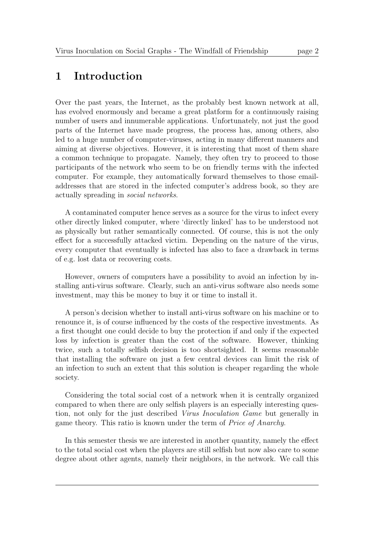# 1 Introduction

Over the past years, the Internet, as the probably best known network at all, has evolved enormously and became a great platform for a continuously raising number of users and innumerable applications. Unfortunately, not just the good parts of the Internet have made progress, the process has, among others, also led to a huge number of computer-viruses, acting in many different manners and aiming at diverse objectives. However, it is interesting that most of them share a common technique to propagate. Namely, they often try to proceed to those participants of the network who seem to be on friendly terms with the infected computer. For example, they automatically forward themselves to those emailaddresses that are stored in the infected computer's address book, so they are actually spreading in social networks.

A contaminated computer hence serves as a source for the virus to infect every other directly linked computer, where 'directly linked' has to be understood not as physically but rather semantically connected. Of course, this is not the only effect for a successfully attacked victim. Depending on the nature of the virus, every computer that eventually is infected has also to face a drawback in terms of e.g. lost data or recovering costs.

However, owners of computers have a possibility to avoid an infection by installing anti-virus software. Clearly, such an anti-virus software also needs some investment, may this be money to buy it or time to install it.

A person's decision whether to install anti-virus software on his machine or to renounce it, is of course influenced by the costs of the respective investments. As a first thought one could decide to buy the protection if and only if the expected loss by infection is greater than the cost of the software. However, thinking twice, such a totally selfish decision is too shortsighted. It seems reasonable that installing the software on just a few central devices can limit the risk of an infection to such an extent that this solution is cheaper regarding the whole society.

Considering the total social cost of a network when it is centrally organized compared to when there are only selfish players is an especially interesting question, not only for the just described Virus Inoculation Game but generally in game theory. This ratio is known under the term of Price of Anarchy.

In this semester thesis we are interested in another quantity, namely the effect to the total social cost when the players are still selfish but now also care to some degree about other agents, namely their neighbors, in the network. We call this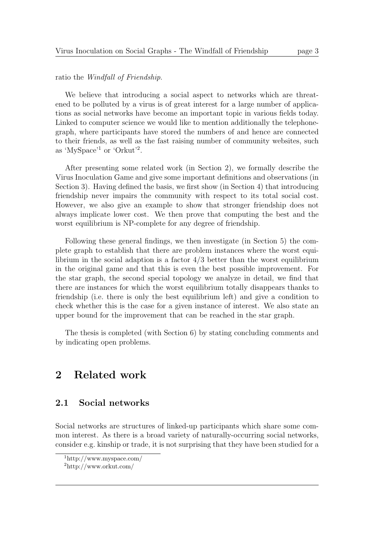ratio the Windfall of Friendship.

We believe that introducing a social aspect to networks which are threatened to be polluted by a virus is of great interest for a large number of applications as social networks have become an important topic in various fields today. Linked to computer science we would like to mention additionally the telephonegraph, where participants have stored the numbers of and hence are connected to their friends, as well as the fast raising number of community websites, such as 'MySpace'<sup>1</sup> or 'Orkut'<sup>2</sup> .

After presenting some related work (in Section 2), we formally describe the Virus Inoculation Game and give some important definitions and observations (in Section 3). Having defined the basis, we first show (in Section 4) that introducing friendship never impairs the community with respect to its total social cost. However, we also give an example to show that stronger friendship does not always implicate lower cost. We then prove that computing the best and the worst equilibrium is NP-complete for any degree of friendship.

Following these general findings, we then investigate (in Section 5) the complete graph to establish that there are problem instances where the worst equilibrium in the social adaption is a factor  $4/3$  better than the worst equilibrium in the original game and that this is even the best possible improvement. For the star graph, the second special topology we analyze in detail, we find that there are instances for which the worst equilibrium totally disappears thanks to friendship (i.e. there is only the best equilibrium left) and give a condition to check whether this is the case for a given instance of interest. We also state an upper bound for the improvement that can be reached in the star graph.

The thesis is completed (with Section 6) by stating concluding comments and by indicating open problems.

# 2 Related work

#### 2.1 Social networks

Social networks are structures of linked-up participants which share some common interest. As there is a broad variety of naturally-occurring social networks, consider e.g. kinship or trade, it is not surprising that they have been studied for a

<sup>1</sup>http://www.myspace.com/

<sup>2</sup>http://www.orkut.com/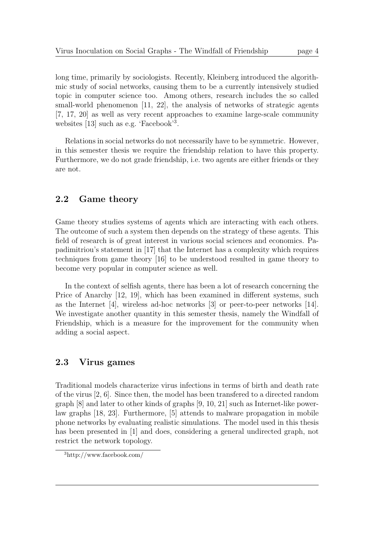long time, primarily by sociologists. Recently, Kleinberg introduced the algorithmic study of social networks, causing them to be a currently intensively studied topic in computer science too. Among others, research includes the so called small-world phenomenon [11, 22], the analysis of networks of strategic agents [7, 17, 20] as well as very recent approaches to examine large-scale community websites [13] such as e.g. 'Facebook'<sup>3</sup> .

Relations in social networks do not necessarily have to be symmetric. However, in this semester thesis we require the friendship relation to have this property. Furthermore, we do not grade friendship, i.e. two agents are either friends or they are not.

### 2.2 Game theory

Game theory studies systems of agents which are interacting with each others. The outcome of such a system then depends on the strategy of these agents. This field of research is of great interest in various social sciences and economics. Papadimitriou's statement in [17] that the Internet has a complexity which requires techniques from game theory [16] to be understood resulted in game theory to become very popular in computer science as well.

In the context of selfish agents, there has been a lot of research concerning the Price of Anarchy [12, 19], which has been examined in different systems, such as the Internet [4], wireless ad-hoc networks [3] or peer-to-peer networks [14]. We investigate another quantity in this semester thesis, namely the Windfall of Friendship, which is a measure for the improvement for the community when adding a social aspect.

#### 2.3 Virus games

Traditional models characterize virus infections in terms of birth and death rate of the virus [2, 6]. Since then, the model has been transfered to a directed random graph [8] and later to other kinds of graphs [9, 10, 21] such as Internet-like powerlaw graphs [18, 23]. Furthermore, [5] attends to malware propagation in mobile phone networks by evaluating realistic simulations. The model used in this thesis has been presented in [1] and does, considering a general undirected graph, not restrict the network topology.

<sup>3</sup>http://www.facebook.com/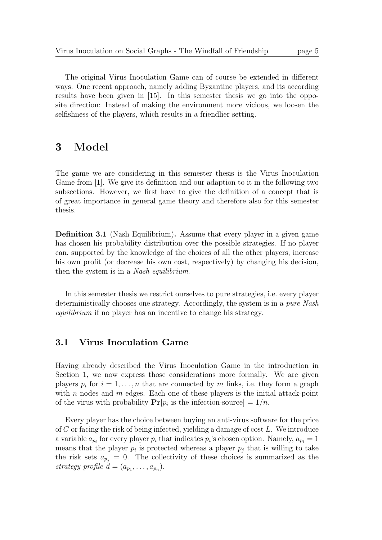The original Virus Inoculation Game can of course be extended in different ways. One recent approach, namely adding Byzantine players, and its according results have been given in [15]. In this semester thesis we go into the opposite direction: Instead of making the environment more vicious, we loosen the selfishness of the players, which results in a friendlier setting.

# 3 Model

The game we are considering in this semester thesis is the Virus Inoculation Game from [1]. We give its definition and our adaption to it in the following two subsections. However, we first have to give the definition of a concept that is of great importance in general game theory and therefore also for this semester thesis.

Definition 3.1 (Nash Equilibrium). Assume that every player in a given game has chosen his probability distribution over the possible strategies. If no player can, supported by the knowledge of the choices of all the other players, increase his own profit (or decrease his own cost, respectively) by changing his decision, then the system is in a Nash equilibrium.

In this semester thesis we restrict ourselves to pure strategies, i.e. every player deterministically chooses one strategy. Accordingly, the system is in a pure Nash equilibrium if no player has an incentive to change his strategy.

#### 3.1 Virus Inoculation Game

Having already described the Virus Inoculation Game in the introduction in Section 1, we now express those considerations more formally. We are given players  $p_i$  for  $i = 1, ..., n$  that are connected by m links, i.e. they form a graph with n nodes and  $m$  edges. Each one of these players is the initial attack-point of the virus with probability  $Pr[p_i]$  is the infection-source  $] = 1/n$ .

Every player has the choice between buying an anti-virus software for the price of C or facing the risk of being infected, yielding a damage of cost L. We introduce a variable  $a_{p_i}$  for every player  $p_i$  that indicates  $p_i$ 's chosen option. Namely,  $a_{p_i} = 1$ means that the player  $p_i$  is protected whereas a player  $p_j$  that is willing to take the risk sets  $a_{p_i} = 0$ . The collectivity of these choices is summarized as the strategy profile  $\vec{a} = (a_{p_1}, \ldots, a_{p_n}).$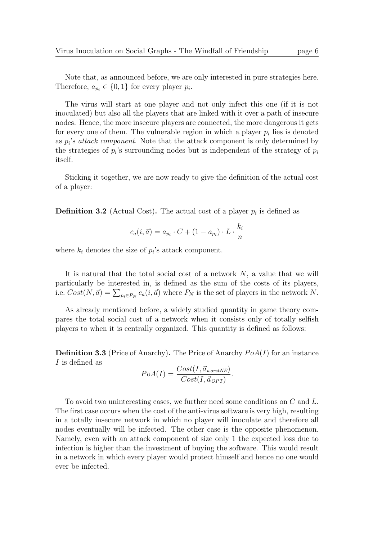Note that, as announced before, we are only interested in pure strategies here. Therefore,  $a_{p_i} \in \{0, 1\}$  for every player  $p_i$ .

The virus will start at one player and not only infect this one (if it is not inoculated) but also all the players that are linked with it over a path of insecure nodes. Hence, the more insecure players are connected, the more dangerous it gets for every one of them. The vulnerable region in which a player  $p_i$  lies is denoted as  $p_i$ 's attack component. Note that the attack component is only determined by the strategies of  $p_i$ 's surrounding nodes but is independent of the strategy of  $p_i$ itself.

Sticking it together, we are now ready to give the definition of the actual cost of a player:

**Definition 3.2** (Actual Cost). The actual cost of a player  $p_i$  is defined as

$$
c_a(i, \vec{a}) = a_{p_i} \cdot C + (1 - a_{p_i}) \cdot L \cdot \frac{k_i}{n}
$$

where  $k_i$  denotes the size of  $p_i$ 's attack component.

It is natural that the total social cost of a network  $N$ , a value that we will particularly be interested in, is defined as the sum of the costs of its players, i.e.  $Cost(N, \vec{a}) = \sum_{p_i \in P_N} c_a(i, \vec{a})$  where  $P_N$  is the set of players in the network N.

As already mentioned before, a widely studied quantity in game theory compares the total social cost of a network when it consists only of totally selfish players to when it is centrally organized. This quantity is defined as follows:

**Definition 3.3** (Price of Anarchy). The Price of Anarchy  $PoA(I)$  for an instance I is defined as

$$
PoA(I) = \frac{Cost(I, \vec{a}_{worstNE})}{Cost(I, \vec{a}_{OPT})}.
$$

To avoid two uninteresting cases, we further need some conditions on C and L. The first case occurs when the cost of the anti-virus software is very high, resulting in a totally insecure network in which no player will inoculate and therefore all nodes eventually will be infected. The other case is the opposite phenomenon. Namely, even with an attack component of size only 1 the expected loss due to infection is higher than the investment of buying the software. This would result in a network in which every player would protect himself and hence no one would ever be infected.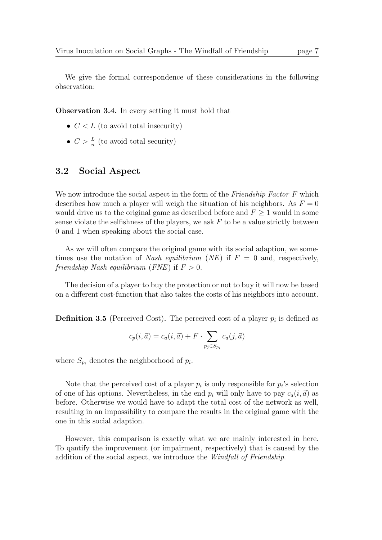We give the formal correspondence of these considerations in the following observation:

Observation 3.4. In every setting it must hold that

- $C < L$  (to avoid total insecurity)
- $C > \frac{L}{n}$  (to avoid total security)

#### 3.2 Social Aspect

We now introduce the social aspect in the form of the Friendship Factor F which describes how much a player will weigh the situation of his neighbors. As  $F = 0$ would drive us to the original game as described before and  $F \geq 1$  would in some sense violate the selfishness of the players, we ask  $F$  to be a value strictly between 0 and 1 when speaking about the social case.

As we will often compare the original game with its social adaption, we sometimes use the notation of Nash equilibrium (NE) if  $F = 0$  and, respectively, friendship Nash equilibrium (FNE) if  $F > 0$ .

The decision of a player to buy the protection or not to buy it will now be based on a different cost-function that also takes the costs of his neighbors into account.

**Definition 3.5** (Perceived Cost). The perceived cost of a player  $p_i$  is defined as

$$
c_p(i, \vec{a}) = c_a(i, \vec{a}) + F \cdot \sum_{p_j \in S_{p_i}} c_a(j, \vec{a})
$$

where  $S_{p_i}$  denotes the neighborhood of  $p_i$ .

Note that the perceived cost of a player  $p_i$  is only responsible for  $p_i$ 's selection of one of his options. Nevertheless, in the end  $p_i$  will only have to pay  $c_a(i,\vec{a})$  as before. Otherwise we would have to adapt the total cost of the network as well, resulting in an impossibility to compare the results in the original game with the one in this social adaption.

However, this comparison is exactly what we are mainly interested in here. To qantify the improvement (or impairment, respectively) that is caused by the addition of the social aspect, we introduce the Windfall of Friendship.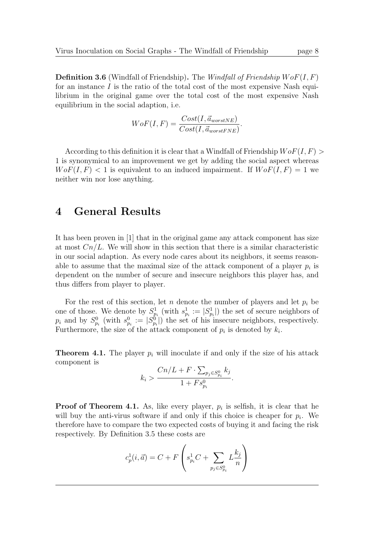**Definition 3.6** (Windfall of Friendship). The *Windfall of Friendship WoF(I, F)* for an instance  $I$  is the ratio of the total cost of the most expensive Nash equilibrium in the original game over the total cost of the most expensive Nash equilibrium in the social adaption, i.e.

$$
WoF(I, F) = \frac{Cost(I, \vec{a}_{worstNE})}{Cost(I, \vec{a}_{worstENE})}.
$$

According to this definition it is clear that a Windfall of Friendship  $WoF(I, F)$ 1 is synonymical to an improvement we get by adding the social aspect whereas  $W \circ F(I, F) < 1$  is equivalent to an induced impairment. If  $W \circ F(I, F) = 1$  we neither win nor lose anything.

# 4 General Results

It has been proven in [1] that in the original game any attack component has size at most  $Cn/L$ . We will show in this section that there is a similar characteristic in our social adaption. As every node cares about its neighbors, it seems reasonable to assume that the maximal size of the attack component of a player  $p_i$  is dependent on the number of secure and insecure neighbors this player has, and thus differs from player to player.

For the rest of this section, let n denote the number of players and let  $p_i$  be one of those. We denote by  $S_{p_i}^1$  (with  $s_{p_i}^1 := |S_{p_i}^1|$ ) the set of secure neighbors of  $p_i$  and by  $S_{p_i}^0$  (with  $s_{p_i}^0 := |S_{p_i}^0|$ ) the set of his insecure neighbors, respectively. Furthermore, the size of the attack component of  $p_i$  is denoted by  $k_i$ .

**Theorem 4.1.** The player  $p_i$  will inoculate if and only if the size of his attack component is

$$
k_i > \frac{Cn/L + F \cdot \sum_{p_j \in S_{p_i}^0} k_j}{1 + F s_{p_i}^0}.
$$

**Proof of Theorem 4.1.** As, like every player,  $p_i$  is selfish, it is clear that he will buy the anti-virus software if and only if this choice is cheaper for  $p_i$ . We therefore have to compare the two expected costs of buying it and facing the risk respectively. By Definition 3.5 these costs are

$$
c_p^1(i, \vec{a}) = C + F\left(s_{p_i}^1 C + \sum_{p_j \in S_{p_i}^0} L_{\overline{n}}^{\underline{k_j}}\right)
$$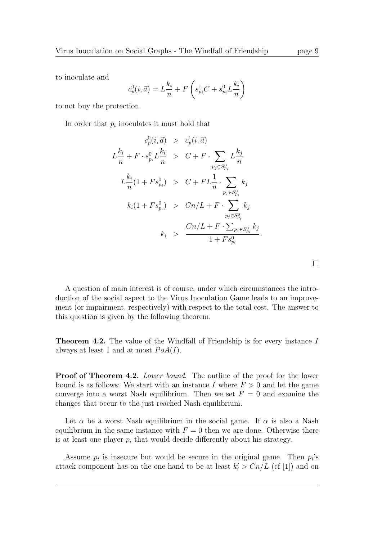to inoculate and

$$
c_p^0(i, \vec{a}) = L\frac{k_i}{n} + F\left(s_{p_i}^1 C + s_{p_i}^0 L\frac{k_i}{n}\right)
$$

to not buy the protection.

In order that  $p_i$  inoculates it must hold that

$$
c_p^0(i, \vec{a}) > c_p^1(i, \vec{a})
$$
  
\n
$$
L_{\overline{n}}^{\underline{k_i}} + F \cdot s_{p_i}^0 L_{\overline{n}}^{\underline{k_i}} > C + F \cdot \sum_{p_j \in S_{p_i}^0} L_{\overline{n}}^{\underline{k_j}}
$$
  
\n
$$
L_{\overline{n}}^{\underline{k_i}}(1 + Fs_{p_i}^0) > C + FL_{\overline{n}}^1 \cdot \sum_{p_j \in S_{p_i}^0} k_j
$$
  
\n
$$
k_i(1 + Fs_{p_i}^0) > Cn/L + F \cdot \sum_{p_j \in S_{p_i}^0} k_j
$$
  
\n
$$
k_i > \frac{Cn/L + F \cdot \sum_{p_j \in S_{p_i}^0} k_j}{1 + Fs_{p_i}^0}.
$$

| A question of main interest is of course, under which circumstances the intro-   |
|----------------------------------------------------------------------------------|
| duction of the social aspect to the Virus Inoculation Game leads to an improve-  |
| ment (or impairment, respectively) with respect to the total cost. The answer to |
| this question is given by the following theorem.                                 |

Theorem 4.2. The value of the Windfall of Friendship is for every instance I always at least 1 and at most  $PoA(I)$ .

Proof of Theorem 4.2. Lower bound. The outline of the proof for the lower bound is as follows: We start with an instance I where  $F > 0$  and let the game converge into a worst Nash equilibrium. Then we set  $F = 0$  and examine the changes that occur to the just reached Nash equilibrium.

Let  $\alpha$  be a worst Nash equilibrium in the social game. If  $\alpha$  is also a Nash equilibrium in the same instance with  $F = 0$  then we are done. Otherwise there is at least one player  $p_i$  that would decide differently about his strategy.

Assume  $p_i$  is insecure but would be secure in the original game. Then  $p_i$ 's attack component has on the one hand to be at least  $k_i' > Cn/L$  (cf [1]) and on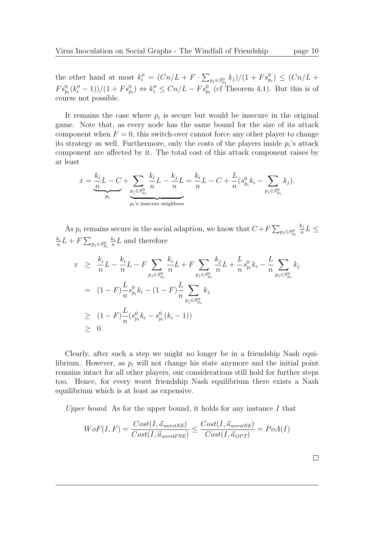the other hand at most  $k''_i = (Cn/L + F \cdot \sum_{p_j \in S_{p_i}^0} k_j)/(1 + F s_{p_i}^0) \le (Cn/L +$  $Fs_{p_i}^0(k_i''-1))/(1 + Fs_{p_i}^0) \Leftrightarrow k_i'' \leq Cn/L - Fs_{p_i}^0$  (cf Theorem 4.1). But this is of course not possible.

It remains the case where  $p_i$  is secure but would be insecure in the original game. Note that, as every node has the same bound for the size of its attack component when  $F = 0$ , this switch-over cannot force any other player to change its strategy as well. Furthermore, only the costs of the players inside  $p_i$ 's attack component are affected by it. The total cost of this attack component raises by at least

$$
x = \underbrace{\underbrace{k_i}_{n}L-C}_{p_i} + \underbrace{\sum_{p_j \in S_{p_i}^0} \frac{k_i}{n}L}_{p_i \text{'s} \text{ insecure neighbors}} - \underbrace{k_i}_{n}L-C + \frac{L}{n}(s_{p_i}^0 k_i - \sum_{p_j \in S_{p_i}^0} k_j).
$$

As  $p_i$  remains secure in the social adaption, we know that  $C + F \sum_{p_j \in S_{p_i}^0}$  $k_j$  $\frac{\kappa_j}{n}L \leq$  $k_i$  $\frac{k_i}{n}L+F\sum_{p_j\in S_{p_i}^0}$  $k_i$  $\frac{k_i}{n}L$  and therefore

$$
x \geq \frac{k_i}{n} L - \frac{k_i}{n} L - F \sum_{p_j \in S_{p_i}^0} \frac{k_i}{n} L + F \sum_{p_j \in S_{p_i}^0} \frac{k_j}{n} L + \frac{L}{n} s_{p_i}^0 k_i - \frac{L}{n} \sum_{p_j \in S_{p_i}^0} k_j
$$
  
=  $(1 - F) \frac{L}{n} s_{p_i}^0 k_i - (1 - F) \frac{L}{n} \sum_{p_j \in S_{p_i}^0} k_j$   
 $\geq (1 - F) \frac{L}{n} (s_{p_i}^0 k_i - s_{p_i}^0 (k_i - 1))$   
 $\geq 0.$ 

Clearly, after such a step we might no longer be in a friendship Nash equilibrium. However, as  $p_i$  will not change his state anymore and the initial point remains intact for all other players, our considerations still hold for further steps too. Hence, for every worst friendship Nash equilibrium there exists a Nash equilibrium which is at least as expensive.

Upper bound. As for the upper bound, it holds for any instance  $I$  that

$$
WoF(I, F) = \frac{Cost(I, \vec{a}_{worstNE})}{Cost(I, \vec{a}_{worstFNE})} \le \frac{Cost(I, \vec{a}_{worstNE})}{Cost(I, \vec{a}_{OPT})} = PoA(I)
$$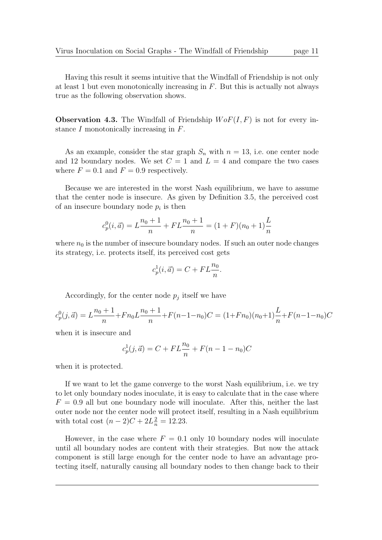Having this result it seems intuitive that the Windfall of Friendship is not only at least 1 but even monotonically increasing in  $F$ . But this is actually not always true as the following observation shows.

**Observation 4.3.** The Windfall of Friendship  $W \circ F(I, F)$  is not for every instance I monotonically increasing in F.

As an example, consider the star graph  $S_n$  with  $n = 13$ , i.e. one center node and 12 boundary nodes. We set  $C = 1$  and  $L = 4$  and compare the two cases where  $F = 0.1$  and  $F = 0.9$  respectively.

Because we are interested in the worst Nash equilibrium, we have to assume that the center node is insecure. As given by Definition 3.5, the perceived cost of an insecure boundary node  $p_i$  is then

$$
c_p^0(i, \vec{a}) = L\frac{n_0 + 1}{n} + FL\frac{n_0 + 1}{n} = (1 + F)(n_0 + 1)\frac{L}{n}
$$

where  $n_0$  is the number of insecure boundary nodes. If such an outer node changes its strategy, i.e. protects itself, its perceived cost gets

$$
c_p^1(i, \vec{a}) = C + FL\frac{n_0}{n}.
$$

Accordingly, for the center node  $p_j$  itself we have

$$
c_p^0(j, \vec{a}) = L\frac{n_0 + 1}{n} + Fn_0L\frac{n_0 + 1}{n} + F(n-1-n_0)C = (1+Fn_0)(n_0+1)\frac{L}{n} + F(n-1-n_0)C
$$

when it is insecure and

$$
c_p^1(j, \vec{a}) = C + FL\frac{n_0}{n} + F(n - 1 - n_0)C
$$

when it is protected.

If we want to let the game converge to the worst Nash equilibrium, i.e. we try to let only boundary nodes inoculate, it is easy to calculate that in the case where  $F = 0.9$  all but one boundary node will inoculate. After this, neither the last outer node nor the center node will protect itself, resulting in a Nash equilibrium with total cost  $(n-2)C + 2L_n^2 = 12.23$ .

However, in the case where  $F = 0.1$  only 10 boundary nodes will inoculate until all boundary nodes are content with their strategies. But now the attack component is still large enough for the center node to have an advantage protecting itself, naturally causing all boundary nodes to then change back to their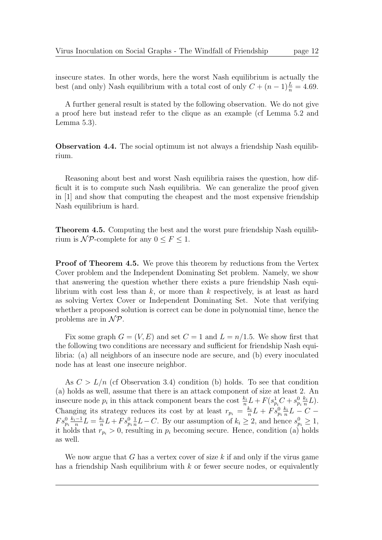insecure states. In other words, here the worst Nash equilibrium is actually the best (and only) Nash equilibrium with a total cost of only  $C + (n-1)\frac{L}{n} = 4.69$ .

A further general result is stated by the following observation. We do not give a proof here but instead refer to the clique as an example (cf Lemma 5.2 and Lemma 5.3).

Observation 4.4. The social optimum ist not always a friendship Nash equilibrium.

Reasoning about best and worst Nash equilibria raises the question, how difficult it is to compute such Nash equilibria. We can generalize the proof given in [1] and show that computing the cheapest and the most expensive friendship Nash equilibrium is hard.

Theorem 4.5. Computing the best and the worst pure friendship Nash equilibrium is  $\mathcal{NP}$ -complete for any  $0 \leq F \leq 1$ .

**Proof of Theorem 4.5.** We prove this theorem by reductions from the Vertex Cover problem and the Independent Dominating Set problem. Namely, we show that answering the question whether there exists a pure friendship Nash equilibrium with cost less than  $k$ , or more than  $k$  respectively, is at least as hard as solving Vertex Cover or Independent Dominating Set. Note that verifying whether a proposed solution is correct can be done in polynomial time, hence the problems are in  $\mathcal{NP}$ .

Fix some graph  $G = (V, E)$  and set  $C = 1$  and  $L = n/1.5$ . We show first that the following two conditions are necessary and sufficient for friendship Nash equilibria: (a) all neighbors of an insecure node are secure, and (b) every inoculated node has at least one insecure neighbor.

As  $C > L/n$  (cf Observation 3.4) condition (b) holds. To see that condition (a) holds as well, assume that there is an attack component of size at least 2. An insecure node  $p_i$  in this attack component bears the cost  $\frac{k_i}{n}L + F(s_{p_i}^1C + s_{p_i}^0\frac{k_i}{n})$  $\frac{k_i}{n}L$ ). Changing its strategy reduces its cost by at least  $r_{p_i} = \frac{k_i}{n}$  $\frac{k_i}{n}L + F s_{p_i}^0 \frac{k_i}{n}$  $\frac{k_i}{n}L-C$  –  $Fs_{p_i}^{0} \frac{k_i-1}{n}$  $\frac{(-1)}{n}L=\frac{k_i}{n}$  $\frac{k_i}{n}L + F s_{p_i}^0 \frac{1}{n}$  $\frac{1}{n}L-C$ . By our assumption of  $k_i \geq 2$ , and hence  $s_{p_i}^0 \geq 1$ , it holds that  $r_{p_i} > 0$ , resulting in  $p_i$  becoming secure. Hence, condition (a) holds as well.

We now argue that G has a vertex cover of size k if and only if the virus game has a friendship Nash equilibrium with  $k$  or fewer secure nodes, or equivalently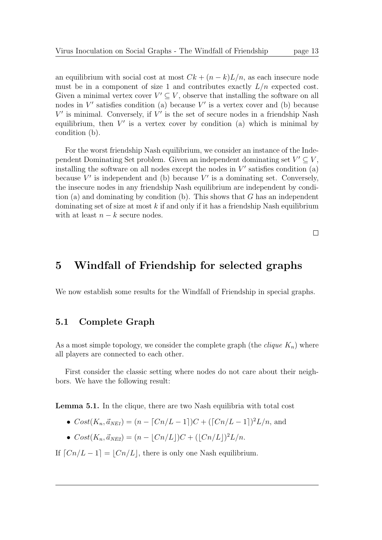an equilibrium with social cost at most  $C_k + (n - k)L/n$ , as each insecure node must be in a component of size 1 and contributes exactly  $L/n$  expected cost. Given a minimal vertex cover  $V' \subseteq V$ , observe that installing the software on all nodes in  $V'$  satisfies condition (a) because  $V'$  is a vertex cover and (b) because  $V'$  is minimal. Conversely, if  $V'$  is the set of secure nodes in a friendship Nash equilibrium, then  $V'$  is a vertex cover by condition (a) which is minimal by condition (b).

For the worst friendship Nash equilibrium, we consider an instance of the Independent Dominating Set problem. Given an independent dominating set  $V' \subseteq V$ , installing the software on all nodes except the nodes in  $V'$  satisfies condition  $(a)$ because  $V'$  is independent and (b) because  $V'$  is a dominating set. Conversely, the insecure nodes in any friendship Nash equilibrium are independent by condition (a) and dominating by condition (b). This shows that  $G$  has an independent dominating set of size at most  $k$  if and only if it has a friendship Nash equilibrium with at least  $n - k$  secure nodes.

 $\Box$ 

# 5 Windfall of Friendship for selected graphs

We now establish some results for the Windfall of Friendship in special graphs.

#### 5.1 Complete Graph

As a most simple topology, we consider the complete graph (the *clique*  $K_n$ ) where all players are connected to each other.

First consider the classic setting where nodes do not care about their neighbors. We have the following result:

Lemma 5.1. In the clique, there are two Nash equilibria with total cost

- $Cost(K_n, \vec{a}_{NEI}) = (n \lceil Cn/L 1 \rceil)C + (\lceil Cn/L 1 \rceil)^2 L/n$ , and
- $Cost(K_n, \vec{a}_{NE2}) = (n \lfloor Cn/L \rfloor)C + (\lfloor Cn/L \rfloor)^2 L/n.$

If  $[Cn/L - 1] = |Cn/L|$ , there is only one Nash equilibrium.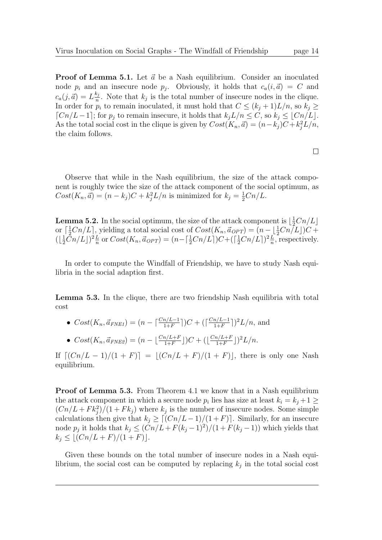**Proof of Lemma 5.1.** Let  $\vec{a}$  be a Nash equilibrium. Consider an inoculated node  $p_i$  and an insecure node  $p_j$ . Obviously, it holds that  $c_a(i, \vec{a}) = C$  and  $c_a(j,\vec{a}) = L\frac{k_j}{n}$  $\frac{k_j}{n}$ . Note that  $k_j$  is the total number of insecure nodes in the clique. In order for  $p_i$  to remain inoculated, it must hold that  $C \leq (k_j + 1)L/n$ , so  $k_j \geq$  $[Ch/L-1]$ ; for  $p_i$  to remain insecure, it holds that  $k_iL/n \leq C$ , so  $k_i \leq |Cn/L|$ . As the total social cost in the clique is given by  $Cost(K_n, \vec{a}) = (n - k_j)C + k_j^2 L/n$ , the claim follows.

Observe that while in the Nash equilibrium, the size of the attack component is roughly twice the size of the attack component of the social optimum, as  $Cost(K_n, \vec{a}) = (n - k_j)C + k_j^2 L/n$  is minimized for  $k_j = \frac{1}{2}Cn/L$ .

**Lemma 5.2.** In the social optimum, the size of the attack component is  $\lfloor \frac{1}{2}Cn/L \rfloor$ or  $\left[\frac{1}{2}Cn/L\right]$ , yielding a total social cost of  $Cost(K_n, \vec{a}_{OPT}) = (n - \lfloor \frac{1}{2}Cn/L\rfloor)C +$  $(\lfloor \frac{1}{2}\bar{C}n/L \rfloor)^2 \frac{L}{n}$  $\frac{L}{n}$  or  $Cost(K_n, \vec{a}_{OPT}) = (n - \lceil \frac{1}{2}Cn/L \rceil)C + (\lceil \frac{1}{2}Cn/L \rceil)^2 \frac{L}{n}$  $\frac{L}{n}$ , respectively.

In order to compute the Windfall of Friendship, we have to study Nash equilibria in the social adaption first.

Lemma 5.3. In the clique, there are two friendship Nash equilibria with total cost

- $Cost(K_n, \vec{a}_{FNEI}) = (n \lceil \frac{Cn/L-1}{1+F} \rceil)C + (\lceil \frac{Cn/L-1}{1+F} \rceil)C$  $\frac{n/L-1}{1+F}]$ <sup>2</sup> $L/n$ , and
- $Cost(K_n, \vec{a}_{FNE2}) = (n \lfloor \frac{Cn/L+F}{1+F} \rfloor)C + (\lfloor \frac{Cn/L+F}{1+F} \rfloor)$  $\frac{n/L+F}{1+F}]$ <sup>2</sup> $L/n$ .

If  $\lceil (Cn/L - 1)/(1 + F) \rceil = \lfloor (Cn/L + F)/(1 + F) \rfloor$ , there is only one Nash equilibrium.

**Proof of Lemma 5.3.** From Theorem 4.1 we know that in a Nash equilibrium the attack component in which a secure node  $p_i$  lies has size at least  $k_i = k_j + 1 \geq$  $(Cn/L + Fk_j^2)/(1 + Fk_j)$  where  $k_j$  is the number of insecure nodes. Some simple calculations then give that  $k_j \geq \lfloor (Cn/L-1)/(1 + F) \rfloor$ . Similarly, for an insecure node  $p_j$  it holds that  $k_j \leq (Cn/L + F(k_j - 1)^2)/(1 + F(k_j - 1))$  which yields that  $k_j \leq |(Cn/L + F)/(1 + F)|.$ 

Given these bounds on the total number of insecure nodes in a Nash equilibrium, the social cost can be computed by replacing  $k_j$  in the total social cost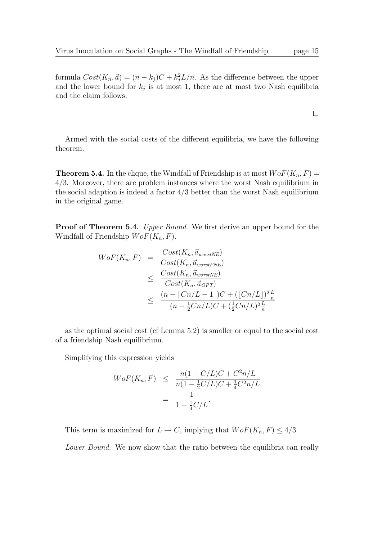formula  $Cost(K_n, \vec{a}) = (n - k_j)C + k_j^2L/n$ . As the difference between the upper and the lower bound for  $k_j$  is at most 1, there are at most two Nash equilibria and the claim follows.

Armed with the social costs of the different equilibria, we have the following theorem.

**Theorem 5.4.** In the clique, the Windfall of Friendship is at most  $W \circ F(K_n, F) =$ 4/3. Moreover, there are problem instances where the worst Nash equilibrium in the social adaption is indeed a factor  $4/3$  better than the worst Nash equilibrium in the original game.

**Proof of Theorem 5.4.** Upper Bound. We first derive an upper bound for the Windfall of Friendship  $WoF(K_n, F)$ .

$$
WoF(K_n, F) = \frac{Cost(K_n, \vec{a}_{worstNE})}{Cost(K_n, \vec{a}_{worstNE})}
$$
  

$$
\leq \frac{Cost(K_n, \vec{a}_{worstNE})}{Cost(K_n, \vec{a}_{OPT})}
$$
  

$$
\leq \frac{(n - [Cn/L - 1])C + ([Cn/L])^2 \frac{L}{n}}{(n - \frac{1}{2}Cn/L)C + (\frac{1}{2}Cn/L)^2 \frac{L}{n}}
$$

as the optimal social cost (cf Lemma 5.2) is smaller or equal to the social cost of a friendship Nash equilibrium.

Simplifying this expression yields

$$
WoF(K_n, F) \leq \frac{n(1 - C/L)C + C^2 n/L}{n(1 - \frac{1}{2}C/L)C + \frac{1}{4}C^2 n/L}
$$

$$
= \frac{1}{1 - \frac{1}{4}C/L}.
$$

This term is maximized for  $L \to C$ , implying that  $W \circ F(K_n, F) \leq 4/3$ .

Lower Bound. We now show that the ratio between the equilibria can really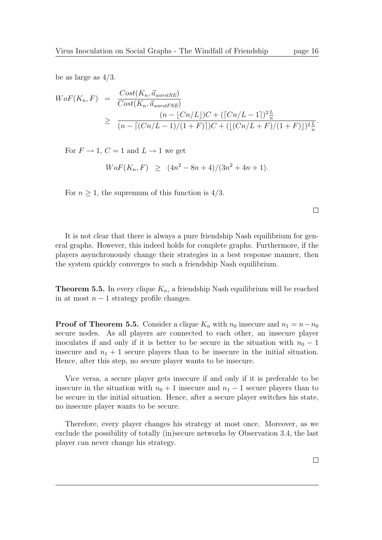be as large as  $4/3$ .

$$
WoF(K_n, F) = \frac{Cost(K_n, \vec{a}_{worstNE})}{Cost(K_n, \vec{a}_{worstNE})}
$$
  
\n
$$
\geq \frac{(n - [Cn/L])C + ([Cn/L - 1])^2 \frac{L}{n}}{(n - [(Cn/L - 1)/(1 + F)])C + ([Cn/L + F)/(1 + F)])^2 \frac{L}{n}}.
$$

For  $F \to 1$ ,  $C = 1$  and  $L \to 1$  we get

$$
WoF(K_n, F) \ge (4n^2 - 8n + 4)/(3n^2 + 4n + 1).
$$

For  $n \geq 1$ , the supremum of this function is 4/3.

 $\Box$ 

It is not clear that there is always a pure friendship Nash equilibrium for general graphs. However, this indeed holds for complete graphs. Furthermore, if the players asynchronously change their strategies in a best response manner, then the system quickly converges to such a friendship Nash equilibrium.

**Theorem 5.5.** In every clique  $K_n$ , a friendship Nash equilibrium will be reached in at most  $n-1$  strategy profile changes.

**Proof of Theorem 5.5.** Consider a clique  $K_n$  with  $n_0$  insecure and  $n_1 = n - n_0$ secure nodes. As all players are connected to each other, an insecure player inoculates if and only if it is better to be secure in the situation with  $n_0 - 1$ insecure and  $n_1 + 1$  secure players than to be insecure in the initial situation. Hence, after this step, no secure player wants to be insecure.

Vice versa, a secure player gets insecure if and only if it is preferable to be insecure in the situation with  $n_0 + 1$  insecure and  $n_1 - 1$  secure players than to be secure in the initial situation. Hence, after a secure player switches his state, no insecure player wants to be secure.

Therefore, every player changes his strategy at most once. Moreover, as we exclude the possibility of totally (in)secure networks by Observation 3.4, the last player can never change his strategy.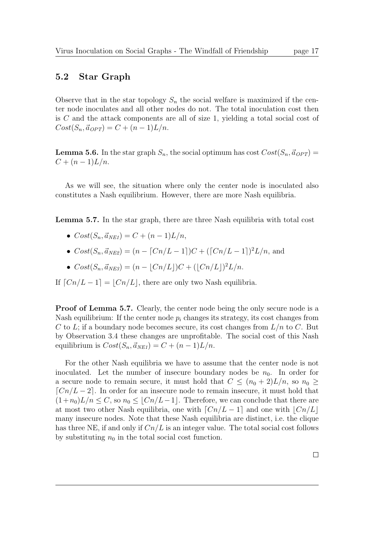#### 5.2 Star Graph

Observe that in the star topology  $S_n$  the social welfare is maximized if the center node inoculates and all other nodes do not. The total inoculation cost then is C and the attack components are all of size 1, yielding a total social cost of  $Cost(S_n,\vec{a}_{OPT}) = C + (n-1)L/n.$ 

**Lemma 5.6.** In the star graph  $S_n$ , the social optimum has cost  $Cost(S_n, \vec{a}_{OPT}) =$  $C + (n-1)L/n$ .

As we will see, the situation where only the center node is inoculated also constitutes a Nash equilibrium. However, there are more Nash equilibria.

Lemma 5.7. In the star graph, there are three Nash equilibria with total cost

- $Cost(S_n,\vec{a}_{NF1}) = C + (n-1)L/n$ .
- $Cost(S_n, \vec{a}_{NE2}) = (n \lceil Cn/L 1 \rceil)C + (\lceil Cn/L 1 \rceil)^2 L/n$ , and
- $Cost(S_n, \vec{a}_{NE3}) = (n \lfloor Cn/L \rfloor)C + (\lfloor Cn/L \rfloor)^2 L/n.$

If  $\lfloor Cn/L - 1 \rfloor = \lfloor Cn/L \rfloor$ , there are only two Nash equilibria.

Proof of Lemma 5.7. Clearly, the center node being the only secure node is a Nash equilibrium: If the center node  $p_i$  changes its strategy, its cost changes from C to L; if a boundary node becomes secure, its cost changes from  $L/n$  to C. But by Observation 3.4 these changes are unprofitable. The social cost of this Nash equilibrium is  $Cost(S_n, \vec{a}_{NE1}) = C + (n-1)L/n$ .

For the other Nash equilibria we have to assume that the center node is not inoculated. Let the number of insecure boundary nodes be  $n_0$ . In order for a secure node to remain secure, it must hold that  $C \leq (n_0 + 2)L/n$ , so  $n_0 \geq$  $\lceil Cn/L - 2 \rceil$ . In order for an insecure node to remain insecure, it must hold that  $(1+n_0)L/n \leq C$ , so  $n_0 \leq \lfloor Cn/L-1 \rfloor$ . Therefore, we can conclude that there are at most two other Nash equilibria, one with  $\lfloor Cn/L - 1 \rfloor$  and one with  $\lfloor Cn/L \rfloor$ many insecure nodes. Note that these Nash equilibria are distinct, i.e. the clique has three NE, if and only if  $Cn/L$  is an integer value. The total social cost follows by substituting  $n_0$  in the total social cost function.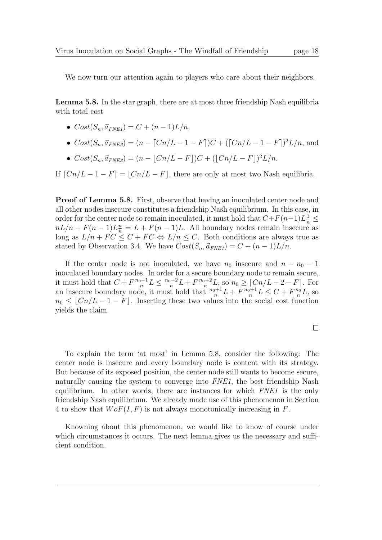We now turn our attention again to players who care about their neighbors.

Lemma 5.8. In the star graph, there are at most three friendship Nash equilibria with total cost

- $Cost(S_n, \vec{a}_{FNEI}) = C + (n-1)L/n,$
- $Cost(S_n, \vec{a}_{FNE2}) = (n \lceil Cn/L 1 F \rceil)C + (\lceil Cn/L 1 F \rceil)^2 L/n$ , and
- $Cost(S_n, \vec{a}_{FNE3}) = (n \lfloor Cn/L F\rfloor)C + (\lfloor Cn/L F\rfloor)^2L/n.$

If  $[Ch/L - 1 - F] = |Cn/L - F|$ , there are only at most two Nash equilibria.

Proof of Lemma 5.8. First, observe that having an inoculated center node and all other nodes insecure constitutes a friendship Nash equilibrium. In this case, in order for the center node to remain inoculated, it must hold that  $C + F(n-1)L\frac{1}{n} \leq$  $nL/n + F(n-1)L_n^n = L + F(n-1)L$ . All boundary nodes remain insecure as long as  $L/n + FC \leq C + FC \Leftrightarrow L/n \leq C$ . Both conditions are always true as stated by Observation 3.4. We have  $Cost(S_n, \vec{a}_{FNE1}) = C + (n-1)L/n$ .

If the center node is not inoculated, we have  $n_0$  insecure and  $n - n_0 - 1$ inoculated boundary nodes. In order for a secure boundary node to remain secure, it must hold that  $C + F \frac{n_0+1}{n}$  $\frac{n+1}{n}L \leq \frac{n_0+2}{n}$  $\frac{1}{n}L + F\frac{n_0+2}{n}$  $\frac{p+2}{n}L$ , so  $n_0 \ge [Cn/L - 2 - F]$ . For an insecure boundary node, it must hold that  $\frac{n_0+1}{n}L + F\frac{n_0+1}{n}$  $\frac{p+1}{n}L \leq C + F\frac{n_0}{n}$  $\frac{n_0}{n}L$ , so  $n_0 \leq |Cn/L - 1 - F|$ . Inserting these two values into the social cost function yields the claim.

To explain the term 'at most' in Lemma 5.8, consider the following: The center node is insecure and every boundary node is content with its strategy. But because of its exposed position, the center node still wants to become secure, naturally causing the system to converge into FNE1, the best friendship Nash equilibrium. In other words, there are instances for which FNE1 is the only friendship Nash equilibrium. We already made use of this phenomenon in Section 4 to show that  $W \circ F(I, F)$  is not always monotonically increasing in F.

Knowning about this phenomenon, we would like to know of course under which circumstances it occurs. The next lemma gives us the necessary and sufficient condition.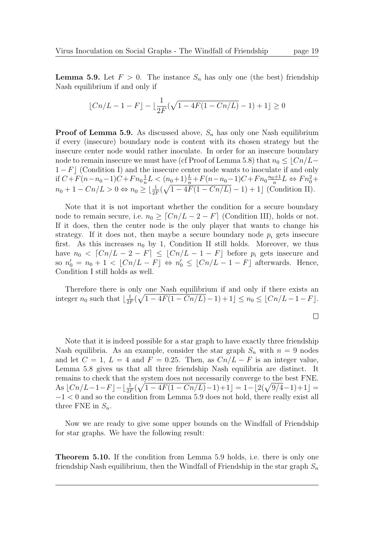**Lemma 5.9.** Let  $F > 0$ . The instance  $S_n$  has only one (the best) friendship Nash equilibrium if and only if

$$
\lfloor Cn/L - 1 - F \rfloor - \lfloor \frac{1}{2F}(\sqrt{1 - 4F(1 - Cn/L)} - 1) + 1 \rfloor \ge 0
$$

**Proof of Lemma 5.9.** As discussed above,  $S_n$  has only one Nash equilibrium if every (insecure) boundary node is content with its chosen strategy but the insecure center node would rather inoculate. In order for an insecure boundary node to remain insecure we must have (cf Proof of Lemma 5.8) that  $n_0 \leq \lfloor Cn/L-\rfloor$  $1 - F$  (Condition I) and the insecure center node wants to inoculate if and only if  $C+F(n-n_0-1)C+F n_0\frac{1}{n}$  $\frac{1}{n}L < (n_0+1)\frac{L}{n} + F(n-n_0-1)C + Fn_0\frac{n_0+1}{n}$  $\frac{p+1}{n}L \Leftrightarrow Fn_0^2 +$  $n_0 + 1 - Cn/L > 0 \Leftrightarrow n_0 \ge \left[ \frac{1}{2F}(\sqrt{1 - 4F(1 - Cn/L)} - 1) + 1 \right]$  (Condition II).

Note that it is not important whether the condition for a secure boundary node to remain secure, i.e.  $n_0 \geq \lceil Cn/L - 2 - F \rceil$  (Condition III), holds or not. If it does, then the center node is the only player that wants to change his strategy. If it does not, then maybe a secure boundary node  $p_i$  gets insecure first. As this increases  $n_0$  by 1, Condition II still holds. Moreover, we thus have  $n_0 < [Cn/L - 2 - F] \leq [Cn/L - 1 - F]$  before  $p_i$  gets insecure and so  $n'_0 = n_0 + 1 < [Cn/L - F] \Leftrightarrow n'_0 \leq [Cn/L - 1 - F]$  afterwards. Hence, Condition I still holds as well.

Therefore there is only one Nash equilibrium if and only if there exists an integer  $n_0$  such that  $\lfloor \frac{1}{2l} \rfloor$  $\frac{1}{2F}(\sqrt{1-4F(1- Cn/L)}-1)+1] \leq n_0 \leq \lfloor Cn/L-1-F \rfloor.$ 

Note that it is indeed possible for a star graph to have exactly three friendship Nash equilibria. As an example, consider the star graph  $S_n$  with  $n = 9$  nodes and let  $C = 1$ ,  $L = 4$  and  $F = 0.25$ . Then, as  $Cn/L - F$  is an integer value, Lemma 5.8 gives us that all three friendship Nash equilibria are distinct. It remains to check that the system does not necessarily converge to the best FNE. As  $\lfloor Cn/L-1-F \rfloor - \lfloor \frac{1}{2F}(\sqrt{1-4F(1- Cn/L)}-1)+1 \rfloor = 1-\lfloor 2(\sqrt{9/4}-1)+1 \rfloor =$ −1 < 0 and so the condition from Lemma 5.9 does not hold, there really exist all three FNE in  $S_n$ .

Now we are ready to give some upper bounds on the Windfall of Friendship for star graphs. We have the following result:

Theorem 5.10. If the condition from Lemma 5.9 holds, i.e. there is only one friendship Nash equilibrium, then the Windfall of Friendship in the star graph  $S_n$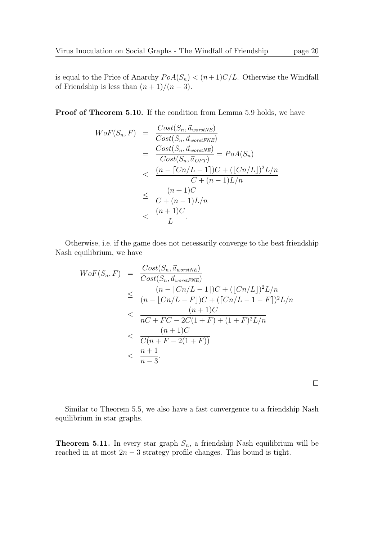is equal to the Price of Anarchy  $PoA(S_n) < (n+1)C/L$ . Otherwise the Windfall of Friendship is less than  $(n + 1)/(n - 3)$ .

Proof of Theorem 5.10. If the condition from Lemma 5.9 holds, we have

$$
WoF(S_n, F) = \frac{Cost(S_n, \vec{a}_{worstNE})}{Cost(S_n, \vec{a}_{worstNE})}
$$
  
= 
$$
\frac{Cost(S_n, \vec{a}_{worstNE})}{Cost(S_n, \vec{a}_{OPT})} = PoA(S_n)
$$
  

$$
\leq \frac{(n - [Cn/L - 1])C + ([Cn/L])^2L/n}{C + (n - 1)L/n}
$$
  

$$
\leq \frac{(n + 1)C}{C + (n - 1)L/n}
$$
  

$$
< \frac{(n + 1)C}{L}.
$$

Otherwise, i.e. if the game does not necessarily converge to the best friendship Nash equilibrium, we have

$$
WoF(S_n, F) = \frac{Cost(S_n, \vec{a}_{worstNE})}{Cost(S_n, \vec{a}_{worstNE})}
$$
  
\n
$$
\leq \frac{(n - [Cn/L - 1])C + ([Cn/L])^2 L/n}{(n - [Cn/L - F])C + ([Cn/L - 1 - F])^2 L/n}
$$
  
\n
$$
\leq \frac{(n + 1)C}{nC + FC - 2C(1 + F) + (1 + F)^2 L/n}
$$
  
\n
$$
< \frac{(n + 1)C}{C(n + F - 2(1 + F))}
$$
  
\n
$$
< \frac{n + 1}{n - 3}.
$$

Similar to Theorem 5.5, we also have a fast convergence to a friendship Nash equilibrium in star graphs.

**Theorem 5.11.** In every star graph  $S_n$ , a friendship Nash equilibrium will be reached in at most  $2n - 3$  strategy profile changes. This bound is tight.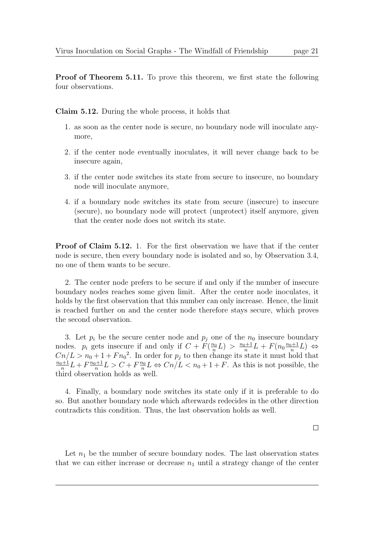Proof of Theorem 5.11. To prove this theorem, we first state the following four observations.

Claim 5.12. During the whole process, it holds that

- 1. as soon as the center node is secure, no boundary node will inoculate anymore,
- 2. if the center node eventually inoculates, it will never change back to be insecure again,
- 3. if the center node switches its state from secure to insecure, no boundary node will inoculate anymore,
- 4. if a boundary node switches its state from secure (insecure) to insecure (secure), no boundary node will protect (unprotect) itself anymore, given that the center node does not switch its state.

**Proof of Claim 5.12.** 1. For the first observation we have that if the center node is secure, then every boundary node is isolated and so, by Observation 3.4, no one of them wants to be secure.

2. The center node prefers to be secure if and only if the number of insecure boundary nodes reaches some given limit. After the center node inoculates, it holds by the first observation that this number can only increase. Hence, the limit is reached further on and the center node therefore stays secure, which proves the second observation.

3. Let  $p_i$  be the secure center node and  $p_j$  one of the  $n_0$  insecure boundary nodes.  $p_i$  gets insecure if and only if  $C + F(\frac{n_0}{n})$  $\frac{n_0}{n}L$  >  $\frac{n_0+1}{n}$  $\frac{p+1}{n}L + F(n_0\frac{n_0+1}{n})$  $\frac{p+1}{n}L$   $\Leftrightarrow$  $Cn/L > n_0 + 1 + Fn_0^2$ . In order for  $p_j$  to then change its state it must hold that  $n_0+1$  $\frac{1}{n}L + F\frac{n_0+1}{n}$  $\frac{D+1}{n}L > C + F\frac{n_0}{n}$  $\frac{n_0}{n}L \Leftrightarrow Cn/L < n_0 + 1 + F$ . As this is not possible, the third observation holds as well.

4. Finally, a boundary node switches its state only if it is preferable to do so. But another boundary node which afterwards redecides in the other direction contradicts this condition. Thus, the last observation holds as well.

 $\Box$ 

Let  $n_1$  be the number of secure boundary nodes. The last observation states that we can either increase or decrease  $n_1$  until a strategy change of the center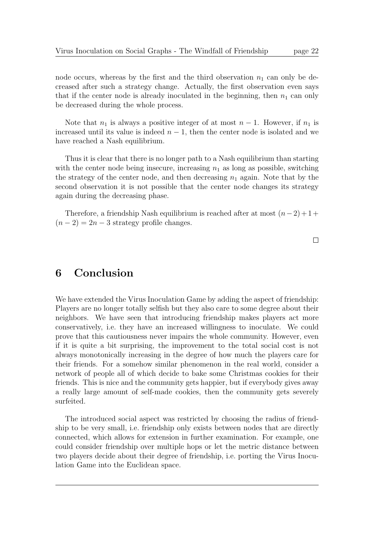node occurs, whereas by the first and the third observation  $n_1$  can only be decreased after such a strategy change. Actually, the first observation even says that if the center node is already inoculated in the beginning, then  $n_1$  can only be decreased during the whole process.

Note that  $n_1$  is always a positive integer of at most  $n-1$ . However, if  $n_1$  is increased until its value is indeed  $n - 1$ , then the center node is isolated and we have reached a Nash equilibrium.

Thus it is clear that there is no longer path to a Nash equilibrium than starting with the center node being insecure, increasing  $n_1$  as long as possible, switching the strategy of the center node, and then decreasing  $n_1$  again. Note that by the second observation it is not possible that the center node changes its strategy again during the decreasing phase.

Therefore, a friendship Nash equilibrium is reached after at most  $(n-2) + 1 +$  $(n-2) = 2n-3$  strategy profile changes.

 $\Box$ 

# 6 Conclusion

We have extended the Virus Inoculation Game by adding the aspect of friendship: Players are no longer totally selfish but they also care to some degree about their neighbors. We have seen that introducing friendship makes players act more conservatively, i.e. they have an increased willingness to inoculate. We could prove that this cautiousness never impairs the whole community. However, even if it is quite a bit surprising, the improvement to the total social cost is not always monotonically increasing in the degree of how much the players care for their friends. For a somehow similar phenomenon in the real world, consider a network of people all of which decide to bake some Christmas cookies for their friends. This is nice and the community gets happier, but if everybody gives away a really large amount of self-made cookies, then the community gets severely surfeited.

The introduced social aspect was restricted by choosing the radius of friendship to be very small, i.e. friendship only exists between nodes that are directly connected, which allows for extension in further examination. For example, one could consider friendship over multiple hops or let the metric distance between two players decide about their degree of friendship, i.e. porting the Virus Inoculation Game into the Euclidean space.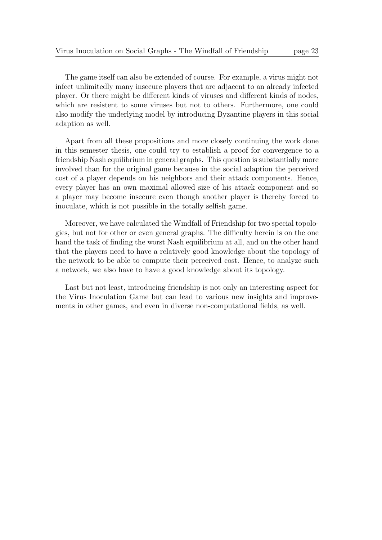The game itself can also be extended of course. For example, a virus might not infect unlimitedly many insecure players that are adjacent to an already infected player. Or there might be different kinds of viruses and different kinds of nodes, which are resistent to some viruses but not to others. Furthermore, one could also modify the underlying model by introducing Byzantine players in this social adaption as well.

Apart from all these propositions and more closely continuing the work done in this semester thesis, one could try to establish a proof for convergence to a friendship Nash equilibrium in general graphs. This question is substantially more involved than for the original game because in the social adaption the perceived cost of a player depends on his neighbors and their attack components. Hence, every player has an own maximal allowed size of his attack component and so a player may become insecure even though another player is thereby forced to inoculate, which is not possible in the totally selfish game.

Moreover, we have calculated the Windfall of Friendship for two special topologies, but not for other or even general graphs. The difficulty herein is on the one hand the task of finding the worst Nash equilibrium at all, and on the other hand that the players need to have a relatively good knowledge about the topology of the network to be able to compute their perceived cost. Hence, to analyze such a network, we also have to have a good knowledge about its topology.

Last but not least, introducing friendship is not only an interesting aspect for the Virus Inoculation Game but can lead to various new insights and improvements in other games, and even in diverse non-computational fields, as well.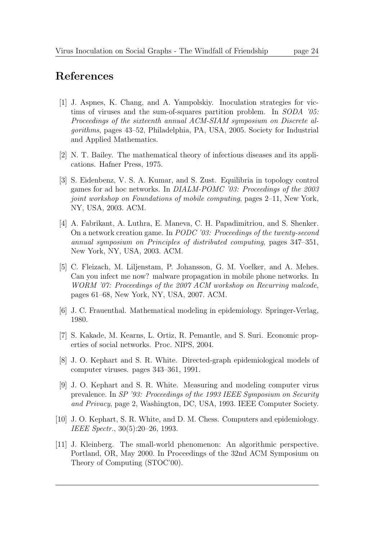# References

- [1] J. Aspnes, K. Chang, and A. Yampolskiy. Inoculation strategies for victims of viruses and the sum-of-squares partition problem. In SODA '05: Proceedings of the sixteenth annual ACM-SIAM symposium on Discrete algorithms, pages 43–52, Philadelphia, PA, USA, 2005. Society for Industrial and Applied Mathematics.
- [2] N. T. Bailey. The mathematical theory of infectious diseases and its applications. Hafner Press, 1975.
- [3] S. Eidenbenz, V. S. A. Kumar, and S. Zust. Equilibria in topology control games for ad hoc networks. In DIALM-POMC '03: Proceedings of the 2003 joint workshop on Foundations of mobile computing, pages 2–11, New York, NY, USA, 2003. ACM.
- [4] A. Fabrikant, A. Luthra, E. Maneva, C. H. Papadimitriou, and S. Shenker. On a network creation game. In PODC '03: Proceedings of the twenty-second annual symposium on Principles of distributed computing, pages 347–351, New York, NY, USA, 2003. ACM.
- [5] C. Fleizach, M. Liljenstam, P. Johansson, G. M. Voelker, and A. Mehes. Can you infect me now? malware propagation in mobile phone networks. In WORM '07: Proceedings of the 2007 ACM workshop on Recurring malcode. pages 61–68, New York, NY, USA, 2007. ACM.
- [6] J. C. Frauenthal. Mathematical modeling in epidemiology. Springer-Verlag, 1980.
- [7] S. Kakade, M. Kearns, L. Ortiz, R. Pemantle, and S. Suri. Economic properties of social networks. Proc. NIPS, 2004.
- [8] J. O. Kephart and S. R. White. Directed-graph epidemiological models of computer viruses. pages 343–361, 1991.
- [9] J. O. Kephart and S. R. White. Measuring and modeling computer virus prevalence. In SP '93: Proceedings of the 1993 IEEE Symposium on Security and Privacy, page 2, Washington, DC, USA, 1993. IEEE Computer Society.
- [10] J. O. Kephart, S. R. White, and D. M. Chess. Computers and epidemiology. IEEE Spectr., 30(5):20–26, 1993.
- [11] J. Kleinberg. The small-world phenomenon: An algorithmic perspective. Portland, OR, May 2000. In Proceedings of the 32nd ACM Symposium on Theory of Computing (STOC'00).